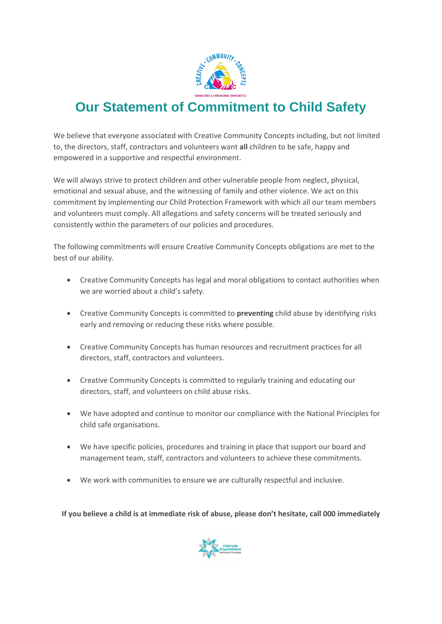

## **Our Statement of Commitment to Child Safety**

We believe that everyone associated with Creative Community Concepts including, but not limited to, the directors, staff, contractors and volunteers want **all** children to be safe, happy and empowered in a supportive and respectful environment.

We will always strive to protect children and other vulnerable people from neglect, physical, emotional and sexual abuse, and the witnessing of family and other violence. We act on this commitment by implementing our Child Protection Framework with which all our team members and volunteers must comply. All allegations and safety concerns will be treated seriously and consistently within the parameters of our policies and procedures.

The following commitments will ensure Creative Community Concepts obligations are met to the best of our ability.

- Creative Community Concepts has legal and moral obligations to contact authorities when we are worried about a child's safety.
- Creative Community Concepts is committed to **preventing** child abuse by identifying risks early and removing or reducing these risks where possible.
- Creative Community Concepts has human resources and recruitment practices for all directors, staff, contractors and volunteers.
- Creative Community Concepts is committed to regularly training and educating our directors, staff, and volunteers on child abuse risks.
- We have adopted and continue to monitor our compliance with the National Principles for child safe organisations.
- We have specific policies, procedures and training in place that support our board and management team, staff, contractors and volunteers to achieve these commitments.
- We work with communities to ensure we are culturally respectful and inclusive.

**If you believe a child is at immediate risk of abuse, please don't hesitate, call 000 immediately**